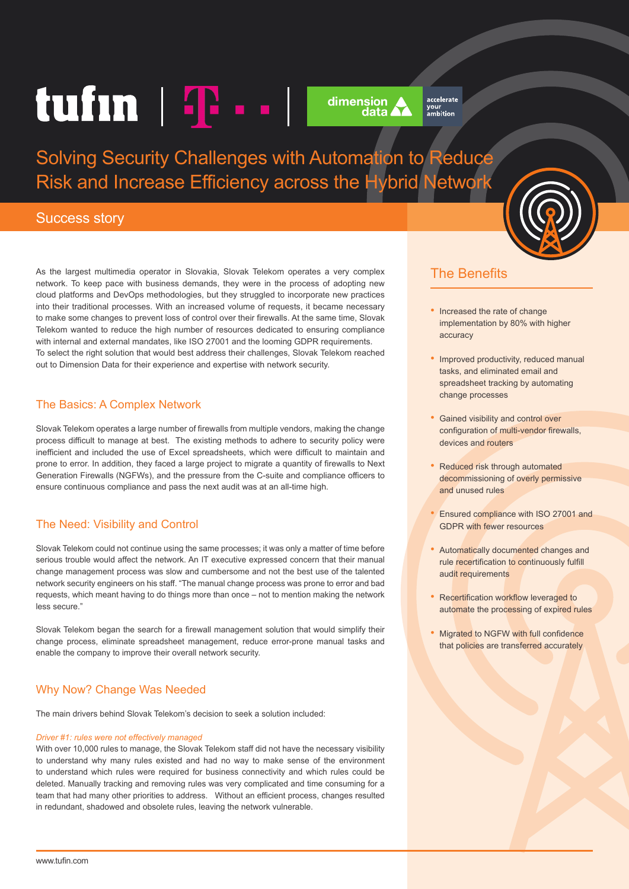# tufin  $|\mathbf{T} \cdot \cdot|$



accelerate your<br>ambition

Solving Security Challenges with Automation to Reduce Risk and Increase Efficiency across the Hybrid Network

## Success story

As the largest multimedia operator in Slovakia, Slovak Telekom operates a very complex network. To keep pace with business demands, they were in the process of adopting new cloud platforms and DevOps methodologies, but they struggled to incorporate new practices into their traditional processes. With an increased volume of requests, it became necessary to make some changes to prevent loss of control over their firewalls. At the same time, Slovak Telekom wanted to reduce the high number of resources dedicated to ensuring compliance with internal and external mandates, like ISO 27001 and the looming GDPR requirements. To select the right solution that would best address their challenges, Slovak Telekom reached out to Dimension Data for their experience and expertise with network security.

#### The Basics: A Complex Network

Slovak Telekom operates a large number of firewalls from multiple vendors, making the change process difficult to manage at best. The existing methods to adhere to security policy were inefficient and included the use of Excel spreadsheets, which were difficult to maintain and prone to error. In addition, they faced a large project to migrate a quantity of firewalls to Next Generation Firewalls (NGFWs), and the pressure from the C-suite and compliance officers to ensure continuous compliance and pass the next audit was at an all-time high.

## The Need: Visibility and Control

Slovak Telekom could not continue using the same processes; it was only a matter of time before serious trouble would affect the network. An IT executive expressed concern that their manual change management process was slow and cumbersome and not the best use of the talented network security engineers on his staff. "The manual change process was prone to error and bad requests, which meant having to do things more than once – not to mention making the network less secure."

Slovak Telekom began the search for a firewall management solution that would simplify their change process, eliminate spreadsheet management, reduce error-prone manual tasks and enable the company to improve their overall network security.

# Why Now? Change Was Needed

The main drivers behind Slovak Telekom's decision to seek a solution included:

#### *Driver #1: rules were not effectively managed*

With over 10,000 rules to manage, the Slovak Telekom staff did not have the necessary visibility to understand why many rules existed and had no way to make sense of the environment to understand which rules were required for business connectivity and which rules could be deleted. Manually tracking and removing rules was very complicated and time consuming for a team that had many other priorities to address. Without an efficient process, changes resulted in redundant, shadowed and obsolete rules, leaving the network vulnerable.



# The Benefits

- Increased the rate of change implementation by 80% with higher accuracy
- Improved productivity, reduced manual tasks, and eliminated email and spreadsheet tracking by automating change processes
- Gained visibility and control over configuration of multi-vendor firewalls, devices and routers
- Reduced risk through automated decommissioning of overly permissive and unused rules
- Ensured compliance with ISO 27001 and GDPR with fewer resources
- Automatically documented changes and rule recertification to continuously fulfill audit requirements
- Recertification workflow leveraged to automate the processing of expired rules
- Migrated to NGFW with full confidence that policies are transferred accurately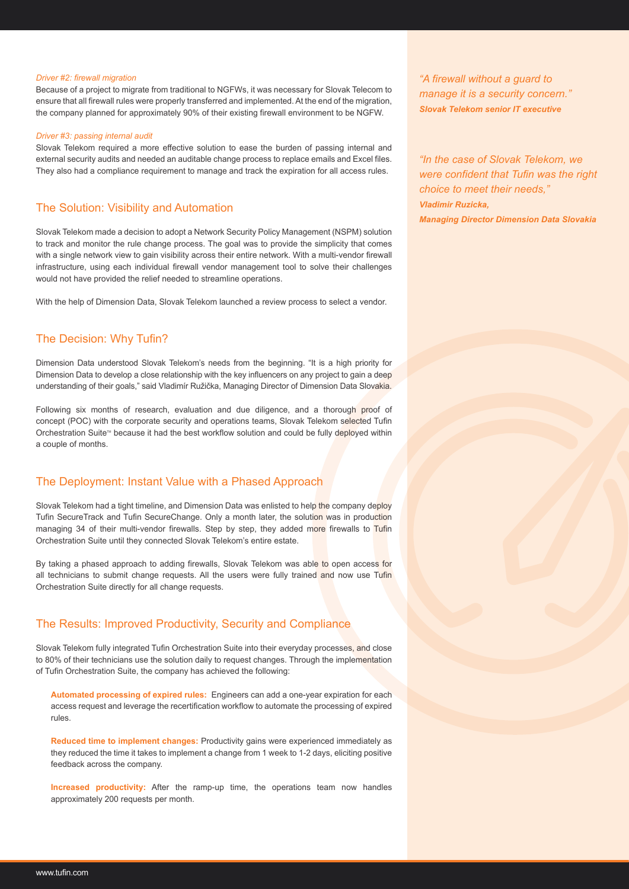#### *Driver #2: firewall migration*

Because of a project to migrate from traditional to NGFWs, it was necessary for Slovak Telecom to ensure that all firewall rules were properly transferred and implemented. At the end of the migration, the company planned for approximately 90% of their existing firewall environment to be NGFW.

#### *Driver #3: passing internal audit*

Slovak Telekom required a more effective solution to ease the burden of passing internal and external security audits and needed an auditable change process to replace emails and Excel files. They also had a compliance requirement to manage and track the expiration for all access rules.

#### The Solution: Visibility and Automation

Slovak Telekom made a decision to adopt a Network Security Policy Management (NSPM) solution to track and monitor the rule change process. The goal was to provide the simplicity that comes with a single network view to gain visibility across their entire network. With a multi-vendor firewall infrastructure, using each individual firewall vendor management tool to solve their challenges would not have provided the relief needed to streamline operations.

With the help of Dimension Data, Slovak Telekom launched a review process to select a vendor.

#### The Decision: Why Tufin?

Dimension Data understood Slovak Telekom's needs from the beginning. "It is a high priority for Dimension Data to develop a close relationship with the key influencers on any project to gain a deep understanding of their goals," said Vladimír Ružička, Managing Director of Dimension Data Slovakia.

Following six months of research, evaluation and due diligence, and a thorough proof of concept (POC) with the corporate security and operations teams, Slovak Telekom selected Tufin Orchestration Suite™ because it had the best workflow solution and could be fully deployed within a couple of months.

#### The Deployment: Instant Value with a Phased Approach

Slovak Telekom had a tight timeline, and Dimension Data was enlisted to help the company deploy Tufin SecureTrack and Tufin SecureChange. Only a month later, the solution was in production managing 34 of their multi-vendor firewalls. Step by step, they added more firewalls to Tufin Orchestration Suite until they connected Slovak Telekom's entire estate.

By taking a phased approach to adding firewalls, Slovak Telekom was able to open access for all technicians to submit change requests. All the users were fully trained and now use Tufin Orchestration Suite directly for all change requests.

#### The Results: Improved Productivity, Security and Compliance

Slovak Telekom fully integrated Tufin Orchestration Suite into their everyday processes, and close to 80% of their technicians use the solution daily to request changes. Through the implementation of Tufin Orchestration Suite, the company has achieved the following:

**Automated processing of expired rules:** Engineers can add a one-year expiration for each access request and leverage the recertification workflow to automate the processing of expired rules.

**Reduced time to implement changes:** Productivity gains were experienced immediately as they reduced the time it takes to implement a change from 1 week to 1-2 days, eliciting positive feedback across the company.

**Increased productivity:** After the ramp-up time, the operations team now handles approximately 200 requests per month.

*"A firewall without a guard to manage it is a security concern." Slovak Telekom senior IT executive*

*"In the case of Slovak Telekom, we were confident that Tufin was the right choice to meet their needs," Vladimir Ruzicka, Managing Director Dimension Data Slovakia*